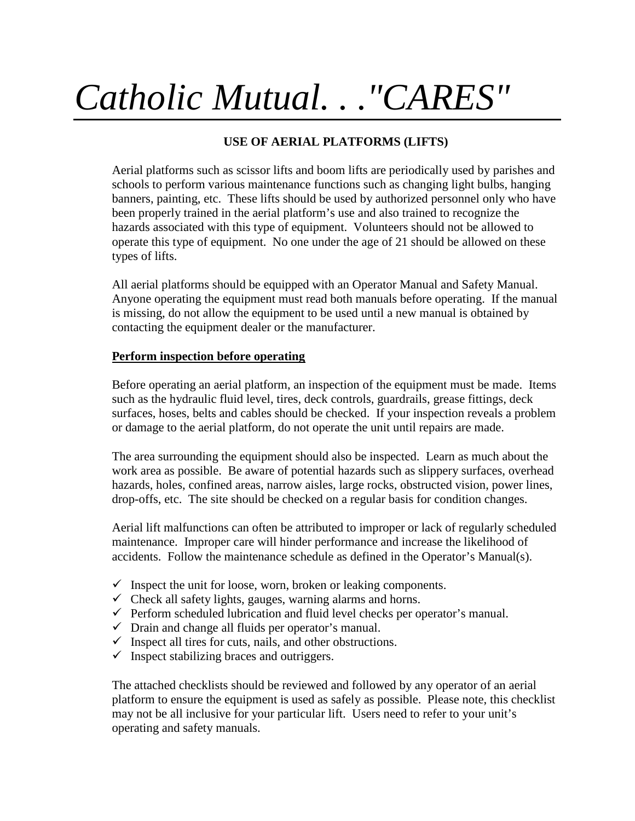# *Catholic Mutual. . ."CARES"*

## **USE OF AERIAL PLATFORMS (LIFTS)**

Aerial platforms such as scissor lifts and boom lifts are periodically used by parishes and schools to perform various maintenance functions such as changing light bulbs, hanging banners, painting, etc. These lifts should be used by authorized personnel only who have been properly trained in the aerial platform's use and also trained to recognize the hazards associated with this type of equipment. Volunteers should not be allowed to operate this type of equipment. No one under the age of 21 should be allowed on these types of lifts.

All aerial platforms should be equipped with an Operator Manual and Safety Manual. Anyone operating the equipment must read both manuals before operating. If the manual is missing, do not allow the equipment to be used until a new manual is obtained by contacting the equipment dealer or the manufacturer.

## **Perform inspection before operating**

Before operating an aerial platform, an inspection of the equipment must be made. Items such as the hydraulic fluid level, tires, deck controls, guardrails, grease fittings, deck surfaces, hoses, belts and cables should be checked. If your inspection reveals a problem or damage to the aerial platform, do not operate the unit until repairs are made.

The area surrounding the equipment should also be inspected. Learn as much about the work area as possible. Be aware of potential hazards such as slippery surfaces, overhead hazards, holes, confined areas, narrow aisles, large rocks, obstructed vision, power lines, drop-offs, etc. The site should be checked on a regular basis for condition changes.

Aerial lift malfunctions can often be attributed to improper or lack of regularly scheduled maintenance. Improper care will hinder performance and increase the likelihood of accidents. Follow the maintenance schedule as defined in the Operator's Manual(s).

- $\checkmark$  Inspect the unit for loose, worn, broken or leaking components.
- $\checkmark$  Check all safety lights, gauges, warning alarms and horns.
- $\checkmark$  Perform scheduled lubrication and fluid level checks per operator's manual.
- $\checkmark$  Drain and change all fluids per operator's manual.
- $\checkmark$  Inspect all tires for cuts, nails, and other obstructions.
- $\checkmark$  Inspect stabilizing braces and outriggers.

The attached checklists should be reviewed and followed by any operator of an aerial platform to ensure the equipment is used as safely as possible. Please note, this checklist may not be all inclusive for your particular lift. Users need to refer to your unit's operating and safety manuals.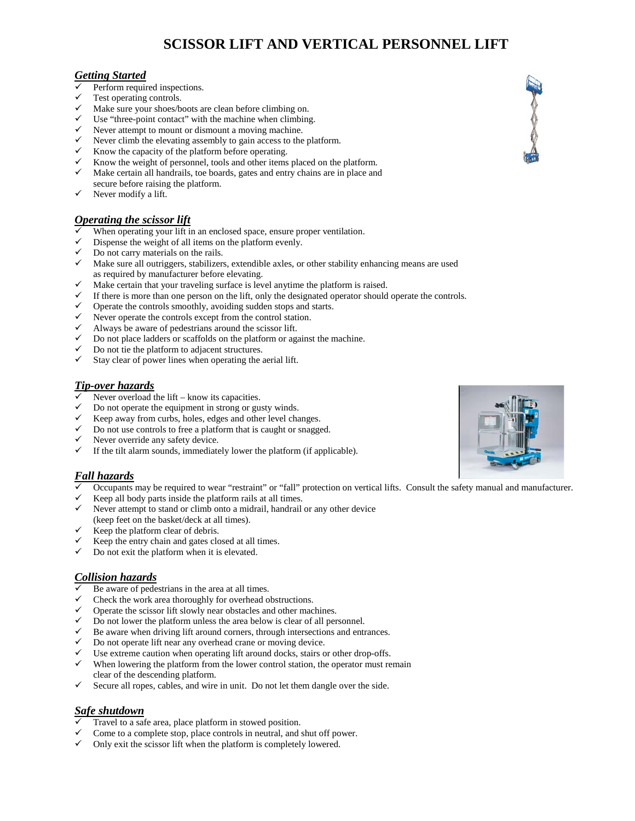# **SCISSOR LIFT AND VERTICAL PERSONNEL LIFT**

## *Getting Started*

- $\checkmark$  Perform required inspections.<br> $\checkmark$  Test operating controls
- Test operating controls.
- $\checkmark$  Make sure your shoes/boots are clean before climbing on.
- $\checkmark$  Use "three-point contact" with the machine when climbing.
- $\checkmark$  Never attempt to mount or dismount a moving machine.
- $\checkmark$  Never climb the elevating assembly to gain access to the platform.
- $\checkmark$  Know the capacity of the platform before operating.
- Know the weight of personnel, tools and other items placed on the platform.
- $\checkmark$  Make certain all handrails, toe boards, gates and entry chains are in place and secure before raising the platform.
- $\checkmark$  Never modify a lift.

## *Operating the scissor lift*

- When operating your lift in an enclosed space, ensure proper ventilation.
- $\checkmark$  Dispense the weight of all items on the platform evenly.
- $\checkmark$  Do not carry materials on the rails.
- $\checkmark$  Make sure all outriggers, stabilizers, extendible axles, or other stability enhancing means are used as required by manufacturer before elevating.
- $\checkmark$  Make certain that your traveling surface is level anytime the platform is raised.
- If there is more than one person on the lift, only the designated operator should operate the controls.<br>  $\checkmark$  Operate the controls smoothly avoiding sudden stops and starts
- Operate the controls smoothly, avoiding sudden stops and starts.
- $\checkmark$  Never operate the controls except from the control station.<br> $\checkmark$  Always be aware of nedestrians around the scissor lift
- Always be aware of pedestrians around the scissor lift.
- $\checkmark$  Do not place ladders or scaffolds on the platform or against the machine.
- $\checkmark$  Do not tie the platform to adjacent structures.
- Stay clear of power lines when operating the aerial lift.

#### *Tip-over hazards*

- $\checkmark$  Never overload the lift know its capacities.
- Do not operate the equipment in strong or gusty winds.
- $\checkmark$  Keep away from curbs, holes, edges and other level changes.
- $\checkmark$  Do not use controls to free a platform that is caught or snagged.
- $\checkmark$  Never override any safety device.
- $\checkmark$  If the tilt alarm sounds, immediately lower the platform (if applicable).

## *Fall hazards*

- Occupants may be required to wear "restraint" or "fall" protection on vertical lifts. Consult the safety manual and manufacturer.
- Keep all body parts inside the platform rails at all times.
- Never attempt to stand or climb onto a midrail, handrail or any other device (keep feet on the basket/deck at all times).
- $\checkmark$  Keep the platform clear of debris.
- Keep the entry chain and gates closed at all times.
- $\checkmark$  Do not exit the platform when it is elevated.

### *Collision hazards*

- Be aware of pedestrians in the area at all times.
- Check the work area thoroughly for overhead obstructions.
- $\checkmark$  Operate the scissor lift slowly near obstacles and other machines.
- $\checkmark$  Do not lower the platform unless the area below is clear of all personnel.
- $\checkmark$  Be aware when driving lift around corners, through intersections and entrances.
- Do not operate lift near any overhead crane or moving device.
- Use extreme caution when operating lift around docks, stairs or other drop-offs.
- When lowering the platform from the lower control station, the operator must remain clear of the descending platform.
- $\checkmark$  Secure all ropes, cables, and wire in unit. Do not let them dangle over the side.

## *Safe shutdown*

- Travel to a safe area, place platform in stowed position.
- $\checkmark$  Come to a complete stop, place controls in neutral, and shut off power.
- $\checkmark$  Only exit the scissor lift when the platform is completely lowered.